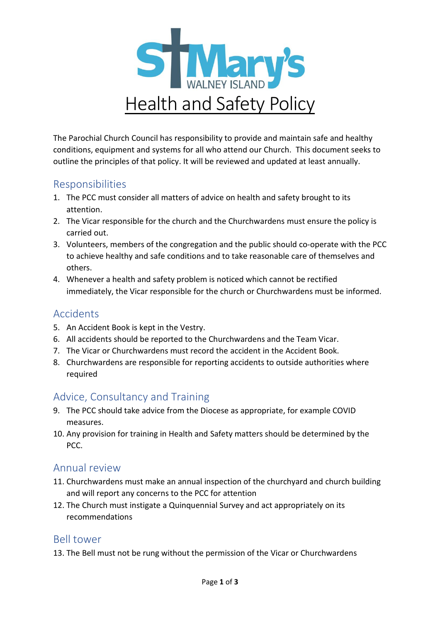

The Parochial Church Council has responsibility to provide and maintain safe and healthy conditions, equipment and systems for all who attend our Church. This document seeks to outline the principles of that policy. It will be reviewed and updated at least annually.

### Responsibilities

- 1. The PCC must consider all matters of advice on health and safety brought to its attention.
- 2. The Vicar responsible for the church and the Churchwardens must ensure the policy is carried out.
- 3. Volunteers, members of the congregation and the public should co-operate with the PCC to achieve healthy and safe conditions and to take reasonable care of themselves and others.
- 4. Whenever a health and safety problem is noticed which cannot be rectified immediately, the Vicar responsible for the church or Churchwardens must be informed.

### Accidents

- 5. An Accident Book is kept in the Vestry.
- 6. All accidents should be reported to the Churchwardens and the Team Vicar.
- 7. The Vicar or Churchwardens must record the accident in the Accident Book.
- 8. Churchwardens are responsible for reporting accidents to outside authorities where required

## Advice, Consultancy and Training

- 9. The PCC should take advice from the Diocese as appropriate, for example COVID measures.
- 10. Any provision for training in Health and Safety matters should be determined by the PCC.

### Annual review

- 11. Churchwardens must make an annual inspection of the churchyard and church building and will report any concerns to the PCC for attention
- 12. The Church must instigate a Quinquennial Survey and act appropriately on its recommendations

### Bell tower

13. The Bell must not be rung without the permission of the Vicar or Churchwardens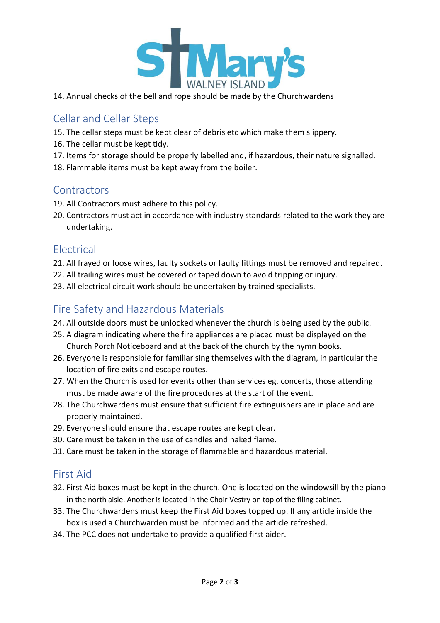

14. Annual checks of the bell and rope should be made by the Churchwardens

### Cellar and Cellar Steps

- 15. The cellar steps must be kept clear of debris etc which make them slippery.
- 16. The cellar must be kept tidy.
- 17. Items for storage should be properly labelled and, if hazardous, their nature signalled.
- 18. Flammable items must be kept away from the boiler.

#### **Contractors**

- 19. All Contractors must adhere to this policy.
- 20. Contractors must act in accordance with industry standards related to the work they are undertaking.

### Electrical

- 21. All frayed or loose wires, faulty sockets or faulty fittings must be removed and repaired.
- 22. All trailing wires must be covered or taped down to avoid tripping or injury.
- 23. All electrical circuit work should be undertaken by trained specialists.

# Fire Safety and Hazardous Materials

- 24. All outside doors must be unlocked whenever the church is being used by the public.
- 25. A diagram indicating where the fire appliances are placed must be displayed on the Church Porch Noticeboard and at the back of the church by the hymn books.
- 26. Everyone is responsible for familiarising themselves with the diagram, in particular the location of fire exits and escape routes.
- 27. When the Church is used for events other than services eg. concerts, those attending must be made aware of the fire procedures at the start of the event.
- 28. The Churchwardens must ensure that sufficient fire extinguishers are in place and are properly maintained.
- 29. Everyone should ensure that escape routes are kept clear.
- 30. Care must be taken in the use of candles and naked flame.
- 31. Care must be taken in the storage of flammable and hazardous material.

### First Aid

- 32. First Aid boxes must be kept in the church. One is located on the windowsill by the piano in the north aisle. Another is located in the Choir Vestry on top of the filing cabinet.
- 33. The Churchwardens must keep the First Aid boxes topped up. If any article inside the box is used a Churchwarden must be informed and the article refreshed.
- 34. The PCC does not undertake to provide a qualified first aider.